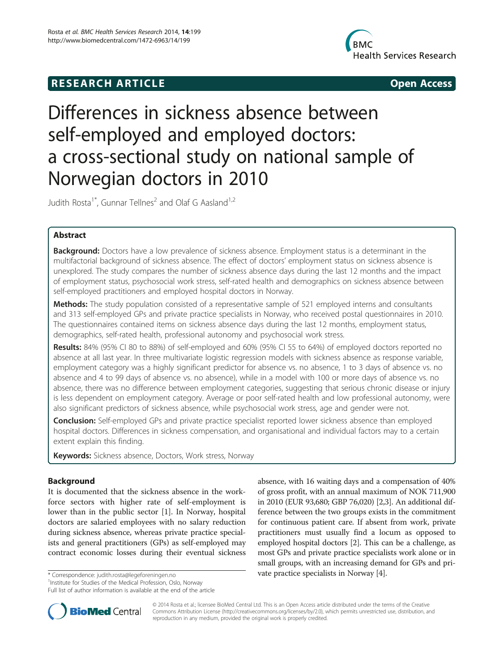# **RESEARCH ARTICLE Example 2014 12:30 The SEAR CHA RESEARCH ARTICLE**



# Differences in sickness absence between self-employed and employed doctors: a cross-sectional study on national sample of Norwegian doctors in 2010

Judith Rosta<sup>1\*</sup>, Gunnar Tellnes<sup>2</sup> and Olaf G Aasland<sup>1,2</sup>

# Abstract

**Background:** Doctors have a low prevalence of sickness absence. Employment status is a determinant in the multifactorial background of sickness absence. The effect of doctors' employment status on sickness absence is unexplored. The study compares the number of sickness absence days during the last 12 months and the impact of employment status, psychosocial work stress, self-rated health and demographics on sickness absence between self-employed practitioners and employed hospital doctors in Norway.

**Methods:** The study population consisted of a representative sample of 521 employed interns and consultants and 313 self-employed GPs and private practice specialists in Norway, who received postal questionnaires in 2010. The questionnaires contained items on sickness absence days during the last 12 months, employment status, demographics, self-rated health, professional autonomy and psychosocial work stress.

Results: 84% (95% CI 80 to 88%) of self-employed and 60% (95% CI 55 to 64%) of employed doctors reported no absence at all last year. In three multivariate logistic regression models with sickness absence as response variable, employment category was a highly significant predictor for absence vs. no absence, 1 to 3 days of absence vs. no absence and 4 to 99 days of absence vs. no absence), while in a model with 100 or more days of absence vs. no absence, there was no difference between employment categories, suggesting that serious chronic disease or injury is less dependent on employment category. Average or poor self-rated health and low professional autonomy, were also significant predictors of sickness absence, while psychosocial work stress, age and gender were not.

**Conclusion:** Self-employed GPs and private practice specialist reported lower sickness absence than employed hospital doctors. Differences in sickness compensation, and organisational and individual factors may to a certain extent explain this finding.

Keywords: Sickness absence, Doctors, Work stress, Norway

# Background

It is documented that the sickness absence in the workforce sectors with higher rate of self-employment is lower than in the public sector [\[1\]](#page-6-0). In Norway, hospital doctors are salaried employees with no salary reduction during sickness absence, whereas private practice specialists and general practitioners (GPs) as self-employed may contract economic losses during their eventual sickness

<sup>1</sup> Institute for Studies of the Medical Profession, Oslo, Norway Full list of author information is available at the end of the article

absence, with 16 waiting days and a compensation of 40% of gross profit, with an annual maximum of NOK 711,900 in 2010 (EUR 93,680; GBP 76,020) [\[2,3\]](#page-6-0). An additional difference between the two groups exists in the commitment for continuous patient care. If absent from work, private practitioners must usually find a locum as opposed to employed hospital doctors [\[2\]](#page-6-0). This can be a challenge, as most GPs and private practice specialists work alone or in small groups, with an increasing demand for GPs and pri-\* Correspondence: judith.rosta@legeforeningen.no vate practice specialists in Norway [[4](#page-6-0)].



© 2014 Rosta et al.; licensee BioMed Central Ltd. This is an Open Access article distributed under the terms of the Creative Commons Attribution License [\(http://creativecommons.org/licenses/by/2.0\)](http://creativecommons.org/licenses/by/2.0), which permits unrestricted use, distribution, and reproduction in any medium, provided the original work is properly credited.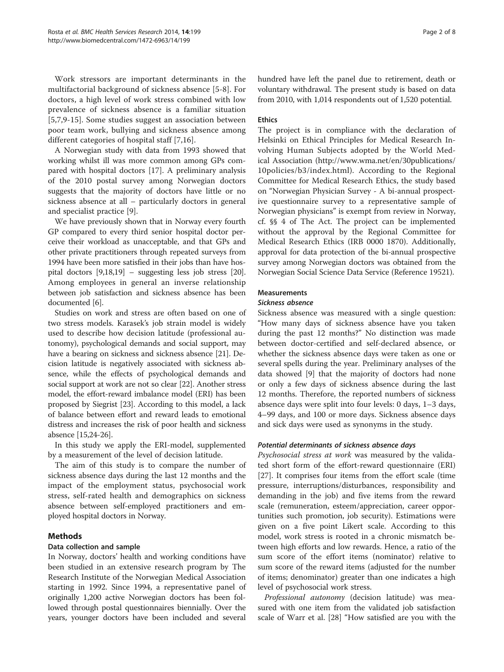Work stressors are important determinants in the multifactorial background of sickness absence [\[5](#page-6-0)-[8](#page-6-0)]. For doctors, a high level of work stress combined with low prevalence of sickness absence is a familiar situation [[5,7,9-15](#page-6-0)]. Some studies suggest an association between poor team work, bullying and sickness absence among different categories of hospital staff [[7,16](#page-6-0)].

A Norwegian study with data from 1993 showed that working whilst ill was more common among GPs compared with hospital doctors [[17](#page-6-0)]. A preliminary analysis of the 2010 postal survey among Norwegian doctors suggests that the majority of doctors have little or no sickness absence at all – particularly doctors in general and specialist practice [[9\]](#page-6-0).

We have previously shown that in Norway every fourth GP compared to every third senior hospital doctor perceive their workload as unacceptable, and that GPs and other private practitioners through repeated surveys from 1994 have been more satisfied in their jobs than have hospital doctors [[9,18,19\]](#page-6-0) – suggesting less job stress [[20](#page-6-0)]. Among employees in general an inverse relationship between job satisfaction and sickness absence has been documented [\[6](#page-6-0)].

Studies on work and stress are often based on one of two stress models. Karasek's job strain model is widely used to describe how decision latitude (professional autonomy), psychological demands and social support, may have a bearing on sickness and sickness absence [[21](#page-6-0)]. Decision latitude is negatively associated with sickness absence, while the effects of psychological demands and social support at work are not so clear [\[22\]](#page-6-0). Another stress model, the effort-reward imbalance model (ERI) has been proposed by Siegrist [[23\]](#page-6-0). According to this model, a lack of balance between effort and reward leads to emotional distress and increases the risk of poor health and sickness absence [[15,24-26](#page-6-0)].

In this study we apply the ERI-model, supplemented by a measurement of the level of decision latitude.

The aim of this study is to compare the number of sickness absence days during the last 12 months and the impact of the employment status, psychosocial work stress, self-rated health and demographics on sickness absence between self-employed practitioners and employed hospital doctors in Norway.

# Methods

# Data collection and sample

In Norway, doctors' health and working conditions have been studied in an extensive research program by The Research Institute of the Norwegian Medical Association starting in 1992. Since 1994, a representative panel of originally 1,200 active Norwegian doctors has been followed through postal questionnaires biennially. Over the years, younger doctors have been included and several hundred have left the panel due to retirement, death or voluntary withdrawal. The present study is based on data from 2010, with 1,014 respondents out of 1,520 potential.

# Ethics

The project is in compliance with the declaration of Helsinki on Ethical Principles for Medical Research Involving Human Subjects adopted by the World Medical Association ([http://www.wma.net/en/30publications/](http://www.wma.net/en/30publications/10policies/b3/index.html) [10policies/b3/index.html](http://www.wma.net/en/30publications/10policies/b3/index.html)). According to the Regional Committee for Medical Research Ethics, the study based on "Norwegian Physician Survey - A bi-annual prospective questionnaire survey to a representative sample of Norwegian physicians" is exempt from review in Norway, cf. §§ 4 of The Act. The project can be implemented without the approval by the Regional Committee for Medical Research Ethics (IRB 0000 1870). Additionally, approval for data protection of the bi-annual prospective survey among Norwegian doctors was obtained from the Norwegian Social Science Data Service (Reference 19521).

# **Measurements**

### Sickness absence

Sickness absence was measured with a single question: "How many days of sickness absence have you taken during the past 12 months?" No distinction was made between doctor-certified and self-declared absence, or whether the sickness absence days were taken as one or several spells during the year. Preliminary analyses of the data showed [\[9](#page-6-0)] that the majority of doctors had none or only a few days of sickness absence during the last 12 months. Therefore, the reported numbers of sickness absence days were split into four levels: 0 days, 1–3 days, 4–99 days, and 100 or more days. Sickness absence days and sick days were used as synonyms in the study.

# Potential determinants of sickness absence days

Psychosocial stress at work was measured by the validated short form of the effort-reward questionnaire (ERI) [[27\]](#page-6-0). It comprises four items from the effort scale (time pressure, interruptions/disturbances, responsibility and demanding in the job) and five items from the reward scale (remuneration, esteem/appreciation, career opportunities such promotion, job security). Estimations were given on a five point Likert scale. According to this model, work stress is rooted in a chronic mismatch between high efforts and low rewards. Hence, a ratio of the sum score of the effort items (nominator) relative to sum score of the reward items (adjusted for the number of items; denominator) greater than one indicates a high level of psychosocial work stress.

Professional autonomy (decision latitude) was measured with one item from the validated job satisfaction scale of Warr et al. [\[28\]](#page-6-0) "How satisfied are you with the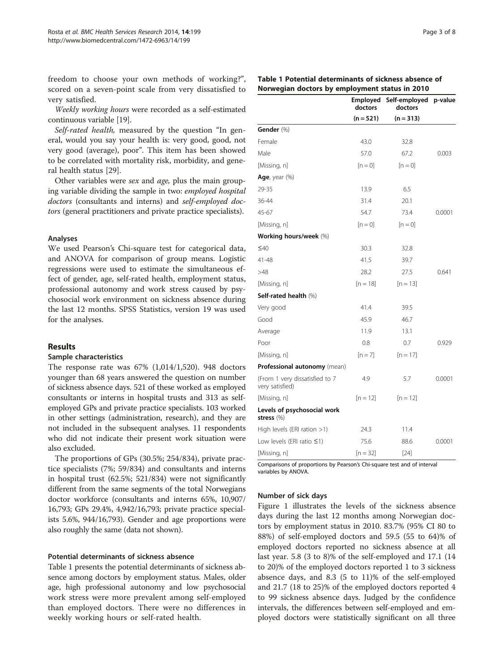freedom to choose your own methods of working?", scored on a seven-point scale from very dissatisfied to very satisfied.

Weekly working hours were recorded as a self-estimated continuous variable [[19](#page-6-0)].

Self-rated health, measured by the question "In general, would you say your health is: very good, good, not very good (average), poor". This item has been showed to be correlated with mortality risk, morbidity, and general health status [\[29\]](#page-6-0).

Other variables were sex and age, plus the main grouping variable dividing the sample in two: employed hospital doctors (consultants and interns) and self-employed doctors (general practitioners and private practice specialists).

### Analyses

We used Pearson's Chi-square test for categorical data, and ANOVA for comparison of group means. Logistic regressions were used to estimate the simultaneous effect of gender, age, self-rated health, employment status, professional autonomy and work stress caused by psychosocial work environment on sickness absence during the last 12 months. SPSS Statistics, version 19 was used for the analyses.

### Results

### Sample characteristics

The response rate was 67% (1,014/1,520). 948 doctors younger than 68 years answered the question on number of sickness absence days. 521 of these worked as employed consultants or interns in hospital trusts and 313 as selfemployed GPs and private practice specialists. 103 worked in other settings (administration, research), and they are not included in the subsequent analyses. 11 respondents who did not indicate their present work situation were also excluded.

The proportions of GPs (30.5%; 254/834), private practice specialists (7%; 59/834) and consultants and interns in hospital trust (62.5%; 521/834) were not significantly different from the same segments of the total Norwegians doctor workforce (consultants and interns 65%, 10,907/ 16,793; GPs 29.4%, 4,942/16,793; private practice specialists 5.6%, 944/16,793). Gender and age proportions were also roughly the same (data not shown).

### Potential determinants of sickness absence

Table 1 presents the potential determinants of sickness absence among doctors by employment status. Males, older age, high professional autonomy and low psychosocial work stress were more prevalent among self-employed than employed doctors. There were no differences in weekly working hours or self-rated health.

|                                                   | doctors     | doctors     |        |
|---------------------------------------------------|-------------|-------------|--------|
|                                                   | $(n = 521)$ | $(n = 313)$ |        |
| Gender (%)                                        |             |             |        |
| Female                                            | 43.0        | 32.8        |        |
| Male                                              | 57.0        | 67.2        | 0.003  |
| [Missing, n]                                      | $[n=0]$     | $[n=0]$     |        |
| Age, year $(\%)$                                  |             |             |        |
| 29-35                                             | 13.9        | 6.5         |        |
| 36-44                                             | 31.4        | 20.1        |        |
| 45-67                                             | 54.7        | 73.4        | 0.0001 |
| [Missing, n]                                      | $[n=0]$     | $[n=0]$     |        |
| Working hours/week (%)                            |             |             |        |
| $\leq 40$                                         | 30.3        | 32.8        |        |
| 41-48                                             | 41.5        | 39.7        |        |
| >48                                               | 28.2        | 27.5        | 0.641  |
| [Missing, n]                                      | [n = 18]    | $[n = 13]$  |        |
| Self-rated health (%)                             |             |             |        |
| Very good                                         | 41.4        | 39.5        |        |
| Good                                              | 45.9        | 46.7        |        |
| Average                                           | 11.9        | 13.1        |        |
| Poor                                              | 0.8         | 0.7         | 0.929  |
| [Missing, n]                                      | $[n=7]$     | $[n = 17]$  |        |
| Professional autonomy (mean)                      |             |             |        |
| (From 1 very dissatisfied to 7<br>very satisfied) | 4.9         | 5.7         | 0.0001 |
| [Missing, n]                                      | $[n = 12]$  | $[n = 12]$  |        |
| Levels of psychosocial work<br>stress (%)         |             |             |        |
| High levels (ERI ration >1)                       | 24.3        | 11.4        |        |
| Low levels (ERI ratio $\leq$ 1)                   | 75.6        | 88.6        | 0.0001 |
| [Missing, n]                                      | $[n = 32]$  | [24]        |        |

Comparisons of proportions by Pearson's Chi-square test and of interval variables by ANOVA.

### Number of sick days

Figure [1](#page-3-0) illustrates the levels of the sickness absence days during the last 12 months among Norwegian doctors by employment status in 2010. 83.7% (95% CI 80 to 88%) of self-employed doctors and 59.5 (55 to 64)% of employed doctors reported no sickness absence at all last year. 5.8 (3 to 8)% of the self-employed and 17.1 (14 to 20)% of the employed doctors reported 1 to 3 sickness absence days, and 8.3 (5 to 11)% of the self-employed and 21.7 (18 to 25)% of the employed doctors reported 4 to 99 sickness absence days. Judged by the confidence intervals, the differences between self-employed and employed doctors were statistically significant on all three

Employed Self-employed p-value

### Table 1 Potential determinants of sickness absence of Norwegian doctors by employment status in 2010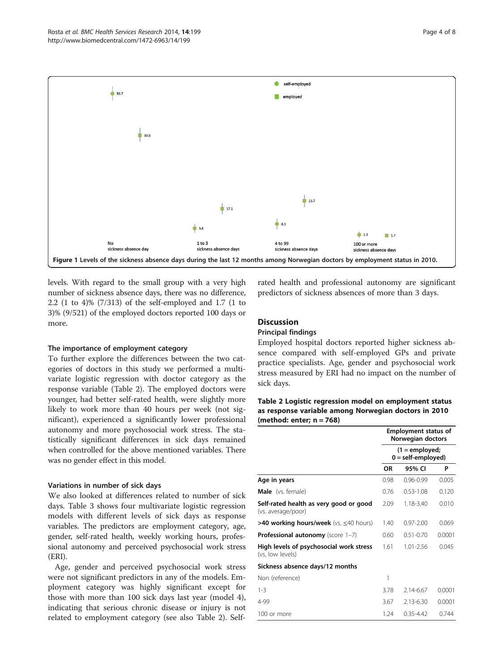<span id="page-3-0"></span>

levels. With regard to the small group with a very high number of sickness absence days, there was no difference, 2.2 (1 to 4)% (7/313) of the self-employed and 1.7 (1 to 3)% (9/521) of the employed doctors reported 100 days or more.

### The importance of employment category

To further explore the differences between the two categories of doctors in this study we performed a multivariate logistic regression with doctor category as the response variable (Table 2). The employed doctors were younger, had better self-rated health, were slightly more likely to work more than 40 hours per week (not significant), experienced a significantly lower professional autonomy and more psychosocial work stress. The statistically significant differences in sick days remained when controlled for the above mentioned variables. There was no gender effect in this model.

### Variations in number of sick days

We also looked at differences related to number of sick days. Table [3](#page-4-0) shows four multivariate logistic regression models with different levels of sick days as response variables. The predictors are employment category, age, gender, self-rated health, weekly working hours, professional autonomy and perceived psychosocial work stress (ERI).

Age, gender and perceived psychosocial work stress were not significant predictors in any of the models. Employment category was highly significant except for those with more than 100 sick days last year (model 4), indicating that serious chronic disease or injury is not related to employment category (see also Table 2). Selfrated health and professional autonomy are significant predictors of sickness absences of more than 3 days.

# **Discussion**

# Principal findings

Employed hospital doctors reported higher sickness absence compared with self-employed GPs and private practice specialists. Age, gender and psychosocial work stress measured by ERI had no impact on the number of sick days.

| Table 2 Logistic regression model on employment status |  |
|--------------------------------------------------------|--|
| as response variable among Norwegian doctors in 2010   |  |
| (method: enter: $n = 768$ )                            |  |

|                                                              | <b>Employment status of</b><br>Norwegian doctors<br>(1 = employed;<br>$0 = self-employd)$ |               |        |  |  |
|--------------------------------------------------------------|-------------------------------------------------------------------------------------------|---------------|--------|--|--|
|                                                              |                                                                                           |               |        |  |  |
|                                                              | OR                                                                                        | 95% CI        | P      |  |  |
| Age in years                                                 | 0.98                                                                                      | $0.96 - 0.99$ | 0.005  |  |  |
| Male (vs. female)                                            | 0.76                                                                                      | $0.53 - 1.08$ | 0.120  |  |  |
| Self-rated health as very good or good<br>(vs. average/poor) | 2.09                                                                                      | $1.18 - 3.40$ | 0.010  |  |  |
| >40 working hours/week (vs. ≤40 hours)                       | 1.40                                                                                      | $0.97 - 2.00$ | 0.069  |  |  |
| <b>Professional autonomy</b> (score 1-7)                     | 0.60                                                                                      | $0.51 - 0.70$ | 0.0001 |  |  |
| High levels of psychosocial work stress<br>(vs. low levels)  | 1.61                                                                                      | $1.01 - 2.56$ | 0.045  |  |  |
| Sickness absence days/12 months                              |                                                                                           |               |        |  |  |
| Non (reference)                                              | 1                                                                                         |               |        |  |  |
| $1 - 3$                                                      | 3.78                                                                                      | 2.14-6.67     | 0.0001 |  |  |
| 4-99                                                         | 3.67                                                                                      | 2.13-6.30     | 0.0001 |  |  |
| 100 or more                                                  | 1.24                                                                                      | $0.35 - 4.42$ | 0.744  |  |  |
|                                                              |                                                                                           |               |        |  |  |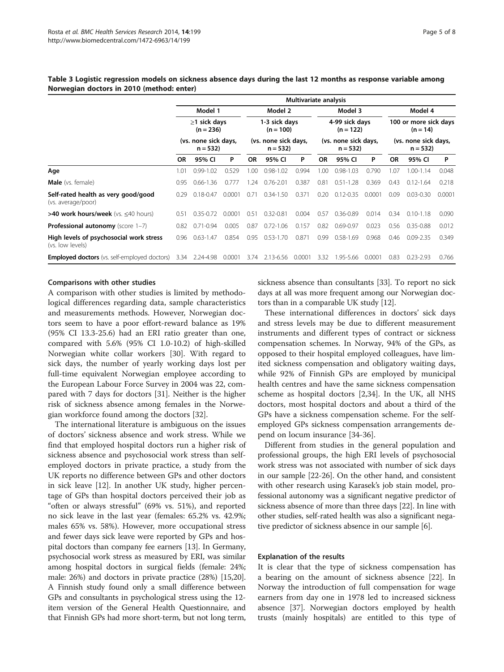|                                                             | Multivariate analysis             |               |                                   |                              |               |        |                                                                    |               |        |                                                                          |               |        |
|-------------------------------------------------------------|-----------------------------------|---------------|-----------------------------------|------------------------------|---------------|--------|--------------------------------------------------------------------|---------------|--------|--------------------------------------------------------------------------|---------------|--------|
|                                                             |                                   | Model 1       |                                   |                              | Model 2       |        |                                                                    | Model 3       |        |                                                                          | Model 4       |        |
|                                                             | $\geq$ 1 sick days<br>$(n = 236)$ |               |                                   | 1-3 sick days<br>$(n = 100)$ |               |        | 4-99 sick days<br>$(n = 122)$<br>(vs. none sick days,<br>$n = 532$ |               |        | 100 or more sick days<br>$(n = 14)$<br>(vs. none sick days,<br>$n = 532$ |               |        |
|                                                             | (vs. none sick days,<br>$n = 532$ |               | (vs. none sick days,<br>$n = 532$ |                              |               |        |                                                                    |               |        |                                                                          |               |        |
|                                                             | <b>OR</b>                         | 95% CI        | P                                 | <b>OR</b>                    | 95% CI        | P      | <b>OR</b>                                                          | 95% CI        | P      | <b>OR</b>                                                                | 95% CI        | P      |
| Age                                                         | 1.01                              | $0.99 - 1.02$ | 0.529                             | 1.00                         | $0.98 - 1.02$ | 0.994  | 1.00                                                               | $0.98 - 1.03$ | 0.790  | LO7                                                                      | 1.00-1.14     | 0.048  |
| <b>Male</b> (vs. female)                                    | 0.95                              | $0.66 - 1.36$ | 0.777                             | 1.24                         | $0.76 - 2.01$ | 0.387  | 0.81                                                               | $0.51 - 1.28$ | 0.369  | 0.43                                                                     | $0.12 - 1.64$ | 0.218  |
| Self-rated health as very good/good<br>(vs. average/poor)   | 0.29                              | $0.18 - 0.47$ | 0.0001                            | 0.71                         | $0.34 - 1.50$ | 0.371  | 0.20                                                               | $0.12 - 0.35$ | 0.0001 | 0.09                                                                     | $0.03 - 0.30$ | 0.0001 |
| >40 work hours/week (vs. <40 hours)                         | 0.51                              | $0.35 - 0.72$ | 0.0001                            | 0.51                         | $0.32 - 0.81$ | 0.004  | 0.57                                                               | $0.36 - 0.89$ | 0.014  | 0.34                                                                     | $0.10 - 1.18$ | 0.090  |
| <b>Professional autonomy</b> (score 1-7)                    | 0.82                              | $0.71 - 0.94$ | 0.005                             | 0.87                         | $0.72 - 1.06$ | 0.157  | 0.82                                                               | $0.69 - 0.97$ | 0.023  | 0.56                                                                     | $0.35 - 0.88$ | 0.012  |
| High levels of psychosocial work stress<br>(vs. low levels) | 0.96                              | $0.63 - 1.47$ | 0.854                             | 0.95                         | $0.53 - 1.70$ | 0.871  | 0.99                                                               | $0.58 - 1.69$ | 0.968  | 0.46                                                                     | $0.09 - 2.35$ | 0.349  |
| <b>Employed doctors</b> (vs. self-employed doctors)         | 3.34                              | 2.24-4.98     | 0.0001                            | 3.74                         | 2.13-6.56     | 0.0001 | 3.32                                                               | 1.95-5.66     | 0.0001 | 0.83                                                                     | $0.23 - 2.93$ | 0.766  |

### <span id="page-4-0"></span>Table 3 Logistic regression models on sickness absence days during the last 12 months as response variable among Norwegian doctors in 2010 (method: enter)

### Comparisons with other studies

A comparison with other studies is limited by methodological differences regarding data, sample characteristics and measurements methods. However, Norwegian doctors seem to have a poor effort-reward balance as 19% (95% CI 13.3-25.6) had an ERI ratio greater than one, compared with 5.6% (95% CI 1.0-10.2) of high-skilled Norwegian white collar workers [[30\]](#page-6-0). With regard to sick days, the number of yearly working days lost per full-time equivalent Norwegian employee according to the European Labour Force Survey in 2004 was 22, compared with 7 days for doctors [[31\]](#page-6-0). Neither is the higher risk of sickness absence among females in the Norwegian workforce found among the doctors [[32](#page-6-0)].

The international literature is ambiguous on the issues of doctors' sickness absence and work stress. While we find that employed hospital doctors run a higher risk of sickness absence and psychosocial work stress than selfemployed doctors in private practice, a study from the UK reports no difference between GPs and other doctors in sick leave [[12\]](#page-6-0). In another UK study, higher percentage of GPs than hospital doctors perceived their job as "often or always stressful" (69% vs. 51%), and reported no sick leave in the last year (females: 65.2% vs. 42.9%; males 65% vs. 58%). However, more occupational stress and fewer days sick leave were reported by GPs and hospital doctors than company fee earners [\[13](#page-6-0)]. In Germany, psychosocial work stress as measured by ERI, was similar among hospital doctors in surgical fields (female: 24%; male: 26%) and doctors in private practice (28%) [\[15,20](#page-6-0)]. A Finnish study found only a small difference between GPs and consultants in psychological stress using the 12 item version of the General Health Questionnaire, and that Finnish GPs had more short-term, but not long term, sickness absence than consultants [\[33](#page-6-0)]. To report no sick days at all was more frequent among our Norwegian doctors than in a comparable UK study [\[12\]](#page-6-0).

These international differences in doctors' sick days and stress levels may be due to different measurement instruments and different types of contract or sickness compensation schemes. In Norway, 94% of the GPs, as opposed to their hospital employed colleagues, have limited sickness compensation and obligatory waiting days, while 92% of Finnish GPs are employed by municipal health centres and have the same sickness compensation scheme as hospital doctors [[2,34\]](#page-6-0). In the UK, all NHS doctors, most hospital doctors and about a third of the GPs have a sickness compensation scheme. For the selfemployed GPs sickness compensation arrangements depend on locum insurance [\[34](#page-6-0)-[36\]](#page-6-0).

Different from studies in the general population and professional groups, the high ERI levels of psychosocial work stress was not associated with number of sick days in our sample [\[22-26\]](#page-6-0). On the other hand, and consistent with other research using Karasek's job stain model, professional autonomy was a significant negative predictor of sickness absence of more than three days [\[22\]](#page-6-0). In line with other studies, self-rated health was also a significant negative predictor of sickness absence in our sample [[6\]](#page-6-0).

### Explanation of the results

It is clear that the type of sickness compensation has a bearing on the amount of sickness absence [[22\]](#page-6-0). In Norway the introduction of full compensation for wage earners from day one in 1978 led to increased sickness absence [[37](#page-7-0)]. Norwegian doctors employed by health trusts (mainly hospitals) are entitled to this type of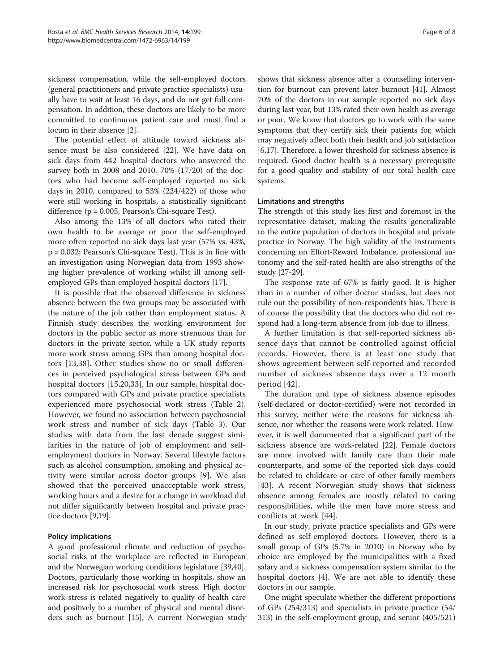sickness compensation, while the self-employed doctors (general practitioners and private practice specialists) usually have to wait at least 16 days, and do not get full compensation. In addition, these doctors are likely to be more committed to continuous patient care and must find a locum in their absence [\[2](#page-6-0)].

The potential effect of attitude toward sickness absence must be also considered [[22\]](#page-6-0). We have data on sick days from 442 hospital doctors who answered the survey both in 2008 and 2010. 70% (17/20) of the doctors who had become self-employed reported no sick days in 2010, compared to 53% (224/422) of those who were still working in hospitals, a statistically significant difference (p = 0.005, Pearson's Chi-square Test).

Also among the 13% of all doctors who rated their own health to be average or poor the self-employed more often reported no sick days last year (57% vs. 43%, p = 0.032; Pearson's Chi-square Test). This is in line with an investigation using Norwegian data from 1993 showing higher prevalence of working whilst ill among selfemployed GPs than employed hospital doctors [[17\]](#page-6-0).

It is possible that the observed difference in sickness absence between the two groups may be associated with the nature of the job rather than employment status. A Finnish study describes the working environment for doctors in the public sector as more strenuous than for doctors in the private sector, while a UK study reports more work stress among GPs than among hospital doctors [\[13](#page-6-0),[38\]](#page-7-0). Other studies show no or small differences in perceived psychological stress between GPs and hospital doctors [[15,20,33](#page-6-0)]. In our sample, hospital doctors compared with GPs and private practice specialists experienced more psychosocial work stress (Table [2](#page-3-0)). However, we found no association between psychosocial work stress and number of sick days (Table [3](#page-4-0)). Our studies with data from the last decade suggest similarities in the nature of job of employment and selfemployment doctors in Norway. Several lifestyle factors such as alcohol consumption, smoking and physical activity were similar across doctor groups [[9\]](#page-6-0). We also showed that the perceived unacceptable work stress, working hours and a desire for a change in workload did not differ significantly between hospital and private practice doctors [\[9,19\]](#page-6-0).

# Policy implications

A good professional climate and reduction of psychosocial risks at the workplace are reflected in European and the Norwegian working conditions legislature [\[39,40](#page-7-0)]. Doctors, particularly those working in hospitals, show an increased risk for psychosocial work stress. High doctor work stress is related negatively to quality of health care and positively to a number of physical and mental disorders such as burnout [[15\]](#page-6-0). A current Norwegian study

shows that sickness absence after a counselling intervention for burnout can prevent later burnout [\[41](#page-7-0)]. Almost 70% of the doctors in our sample reported no sick days during last year, but 13% rated their own health as average or poor. We know that doctors go to work with the same symptoms that they certify sick their patients for, which may negatively affect both their health and job satisfaction [[6,17](#page-6-0)]. Therefore, a lower threshold for sickness absence is required. Good doctor health is a necessary prerequisite for a good quality and stability of our total health care systems.

### Limitations and strengths

The strength of this study lies first and foremost in the representative dataset, making the results generalizable to the entire population of doctors in hospital and private practice in Norway. The high validity of the instruments concerning on Effort-Reward Imbalance, professional autonomy and the self-rated health are also strengths of the study [[27-29\]](#page-6-0).

The response rate of 67% is fairly good. It is higher than in a number of other doctor studies, but does not rule out the possibility of non-respondents bias. There is of course the possibility that the doctors who did not respond had a long-term absence from job due to illness.

A further limitation is that self-reported sickness absence days that cannot be controlled against official records. However, there is at least one study that shows agreement between self-reported and recorded number of sickness absence days over a 12 month period [[42](#page-7-0)].

The duration and type of sickness absence episodes (self-declared or doctor-certified) were not recorded in this survey, neither were the reasons for sickness absence, nor whether the reasons were work related. However, it is well documented that a significant part of the sickness absence are work-related [[22\]](#page-6-0). Female doctors are more involved with family care than their male counterparts, and some of the reported sick days could be related to childcare or care of other family members [[43\]](#page-7-0). A recent Norwegian study shows that sickness absence among females are mostly related to caring responsibilities, while the men have more stress and conflicts at work [[44\]](#page-7-0).

In our study, private practice specialists and GPs were defined as self-employed doctors. However, there is a small group of GPs (5.7% in 2010) in Norway who by choice are employed by the municipalities with a fixed salary and a sickness compensation system similar to the hospital doctors [[4](#page-6-0)]. We are not able to identify these doctors in our sample.

One might speculate whether the different proportions of GPs (254/313) and specialists in private practice (54/ 313) in the self-employment group, and senior (405/521)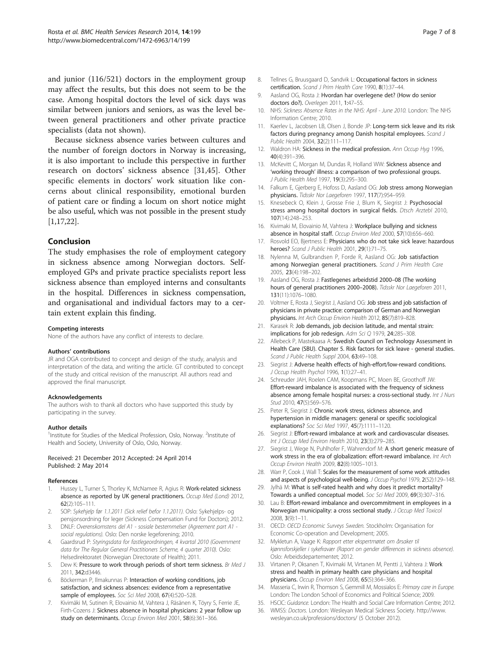<span id="page-6-0"></span>and junior (116/521) doctors in the employment group may affect the results, but this does not seem to be the case. Among hospital doctors the level of sick days was similar between juniors and seniors, as was the level between general practitioners and other private practice specialists (data not shown).

Because sickness absence varies between cultures and the number of foreign doctors in Norway is increasing, it is also important to include this perspective in further research on doctors' sickness absence [31,[45\]](#page-7-0). Other specific elements in doctors' work situation like concerns about clinical responsibility, emotional burden of patient care or finding a locum on short notice might be also useful, which was not possible in the present study [1,17,22].

### Conclusion

The study emphasises the role of employment category in sickness absence among Norwegian doctors. Selfemployed GPs and private practice specialists report less sickness absence than employed interns and consultants in the hospital. Differences in sickness compensation, and organisational and individual factors may to a certain extent explain this finding.

### Competing interests

None of the authors have any conflict of interests to declare.

### Authors' contributions

JR and OGA contributed to concept and design of the study, analysis and interpretation of the data, and writing the article. GT contributed to concept of the study and critical revision of the manuscript. All authors read and approved the final manuscript.

#### Acknowledgements

The authors wish to thank all doctors who have supported this study by participating in the survey.

### Author details

<sup>1</sup>Institute for Studies of the Medical Profession, Oslo, Norway. <sup>2</sup>Institute of Health and Society, University of Oslo, Oslo, Norway.

### Received: 21 December 2012 Accepted: 24 April 2014 Published: 2 May 2014

#### References

- 1. Hussey L, Turner S, Thorley K, McNamee R, Agius R: Work-related sickness absence as reported by UK general practitioners. Occup Med (Lond) 2012, 62(2):105–111.
- 2. SOP: Sykehjelp før 1.1.2011 (Sick relief befor 1.1.2011). Oslo: Sykehjelps- og pensjonsordning for leger (Sickness Compensation Fund for Doctors); 2012.
- 3. DNLF: Overenskomstens del A1 sosiale bestemmelser (Agreement part A1 social regulations). Oslo: Den norske legeforening; 2010.
- 4. Gaardsrud P: Styringsdata for fastlegeordningen, 4 kvartal 2010 (Government data for The Regular General Practitioners Scheme, 4 quarter 2010). Oslo: Helsedirektoratet (Norwegian Directorate of Health); 2011.
- 5. Dew K: Pressure to work through periods of short term sickness. Br Med J 2011, 342:d3446.
- 6. Böckerman P, Ilmakunnas P: Interaction of working conditions, job satisfaction, and sickness absences: evidence from a representative sample of employees. Soc Sci Med 2008, 67(4):520-528.
- 7. Kivimäki M, Sutinen R, Elovainio M, Vahtera J, Räsänen K, Töyry S, Ferrie JE, Firth-Cozens J: Sickness absence in hospital physicians: 2 year follow up study on determinants. Occup Environ Med 2001, 58(6):361-366.
- 8. Tellnes G, Bruusgaard D, Sandvik L: Occupational factors in sickness certification. Scand J Prim Health Care 1990, 8(1):37–44.
- 9. Aasland OG, Rosta J: Hvordan har overlegene det? (How do senior doctors do?). Overlegen 2011, 1:47–55.
- 10. NHS: Sickness Absence Rates in the NHS: April June 2010. London: The NHS Information Centre; 2010.
- 11. Kaerlev L, Jacobsen LB, Olsen J, Bonde JP: Long-term sick leave and its risk factors during pregnancy among Danish hospital employees. Scand J Public Health 2004, 32(2):111–117.
- 12. Waldron HA: Sickness in the medical profession. Ann Occup Hyg 1996, 40(4):391–396.
- 13. McKevitt C, Morgan M, Dundas R, Holland WW: Sickness absence and 'working through' illness: a comparison of two professional groups. J Public Health Med 1997, 19(3):295–300.
- 14. Falkum E, Gjerberg E, Hofoss D, Aasland OG: Job stress among Norwegian physicians. Tidsskr Nor Laegeforen 1997, 117(7):954–959.
- 15. Knesebeck O, Klein J, Grosse Frie J, Blum K, Siegrist J: Psychosocial stress among hospital doctors in surgical fields. Dtsch Arztebl 2010, 107(14):248–253.
- 16. Kivimaki M, Elovainio M, Vahtera J: Workplace bullying and sickness absence in hospital staff. Occup Environ Med 2000, 57(10):656–660.
- 17. Rosvold EO, Bjertness E: Physicians who do not take sick leave: hazardous heroes? Scand J Public Health 2001, 29(1):71–75.
- 18. Nylenna M, Gulbrandsen P, Forde R, Aasland OG: Job satisfaction among Norwegian general practitioners. Scand J Prim Health Care 2005, 23(4):198–202.
- 19. Aasland OG, Rosta J: Fastlegenes arbeidstid 2000–08 (The working hours of general practitioners 2000-2008). Tidsskr Nor Laegeforen 2011, 131(11):1076–1080.
- 20. Voltmer E, Rosta J, Siegrist J, Aasland OG: Job stress and job satisfaction of physicians in private practice: comparison of German and Norwegian physicians. Int Arch Occup Environ Health 2012, 85(7):819-828.
- 21. Karasek R: Job demands, job decision latitude, and mental strain: implications for job redesign. Adm Sci Q 1979, 24:285–308.
- 22. Allebeck P, Mastekaasa A: Swedish Council on Technology Assessment in Health Care (SBU). Chapter 5. Risk factors for sick leave - general studies. Scand J Public Health Suppl 2004, 63:49-108.
- 23. Siegrist J: Adverse health effects of high-effort/low-reward conditions. J Occup Health Psychol 1996, 1(1):27–41.
- 24. Schreuder JAH, Roelen CAM, Koopmans PC, Moen BE, Groothoff JW: Effort-reward imbalance is associated with the frequency of sickness absence among female hospital nurses: a cross-sectional study. Int J Nurs Stud 2010, 47(5):569-576.
- 25. Peter R, Siegrist J: Chronic work stress, sickness absence, and hypertension in middle managers: general or specific sociological explanations? Soc Sci Med 1997, 45(7):1111–1120.
- 26. Siegrist J: Effort-reward imbalance at work and cardiovascular diseases. Int J Occup Med Environ Health 2010, 23(3):279-285.
- 27. Siegrist J, Wege N, Puhlhofer F, Wahrendorf M: A short generic measure of work stress in the era of globalization: effort-reward imbalance. Int Arch Occup Environ Health 2009, 82(8):1005–1013.
- 28. Warr P, Cook J, Wall T: Scales for the measurement of some work attitudes and aspects of psychological well-being. J Occup Psychol 1979, 2(52):129-148.
- 29. Jylhä M: What is self-rated health and why does it predict mortality? Towards a unified conceptual model. Soc Sci Med 2009, 69(3):307–316.
- 30. Lau B: Effort-reward imbalance and overcommitment in employees in a Norwegian municipality: a cross sectional study. J Occup Med Toxicol 2008, 3(9):1–11.
- 31. OECD: OECD Economic Surveys Sweden. Stockholm: Organisation for Economic Co-operation and Development; 2005.
- 32. Mykletun A, Vaage K: Rapport etter ekspertmøtet om årsaker til kjønnsforskjeller i sykefravær (Raport on gender differences in sickness absence). Oslo: Arbeidsdepartementet; 2012.
- 33. Virtanen P, Oksanen T, Kivimaki M, Virtanen M, Pentti J, Vahtera J: Work stress and health in primary health care physicians and hospital physicians. Occup Environ Med 2008, 65(5):364–366.
- 34. Masseria C, Irwin R, Thomson S, Gemmill M, Mossialos E; Primary care in Europe. London: The London School of Economics and Political Science; 2009.
- 35. HSCIC: Guidance. London: The Health and Social Care Information Centre; 2012.
- 36. WMSS: Doctors. London: Wesleyan Medical Sickness Society. [http://www.](http://www.wesleyan.co.uk/professions/doctors/) [wesleyan.co.uk/professions/doctors/](http://www.wesleyan.co.uk/professions/doctors/) (5 October 2012).